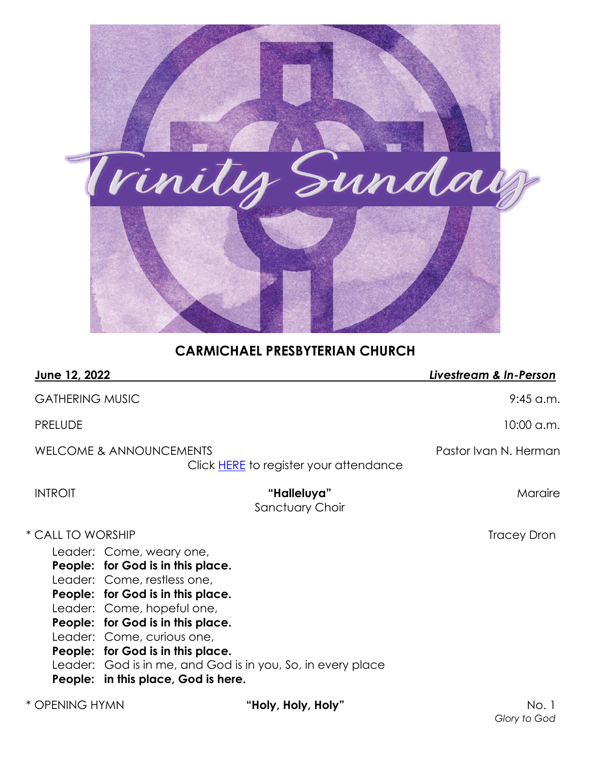

# **CARMICHAEL PRESBYTERIAN CHURCH**

| June 12, 2022          |                                                                                                                                                                                                                                                                                                                |                                                             | Livestream & In-Person |
|------------------------|----------------------------------------------------------------------------------------------------------------------------------------------------------------------------------------------------------------------------------------------------------------------------------------------------------------|-------------------------------------------------------------|------------------------|
| <b>GATHERING MUSIC</b> |                                                                                                                                                                                                                                                                                                                |                                                             | $9:45$ a.m.            |
| <b>PRELUDE</b>         |                                                                                                                                                                                                                                                                                                                |                                                             | 10:00 a.m.             |
|                        | <b>WELCOME &amp; ANNOUNCEMENTS</b>                                                                                                                                                                                                                                                                             | Click <b>HERE</b> to register your attendance               | Pastor Ivan N. Herman  |
| <b>INTROIT</b>         |                                                                                                                                                                                                                                                                                                                | "Halleluya"<br>Sanctuary Choir                              | Maraire                |
| * CALL TO WORSHIP      | Leader: Come, weary one,<br>People: for God is in this place.<br>Leader: Come, restless one,<br>People: for God is in this place.<br>Leader: Come, hopeful one,<br>People: for God is in this place.<br>Leader: Come, curious one,<br>People: for God is in this place.<br>People: in this place, God is here. | Leader: God is in me, and God is in you, So, in every place | <b>Tracey Dron</b>     |
| * OPENING HYMN         |                                                                                                                                                                                                                                                                                                                | "Holy, Holy, Holy"                                          | No. 1                  |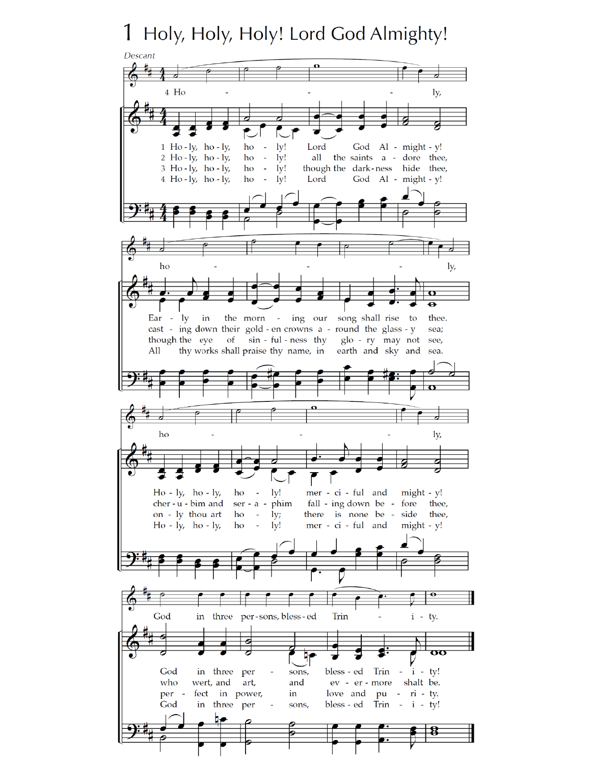# 1 Holy, Holy, Holy! Lord God Almighty!

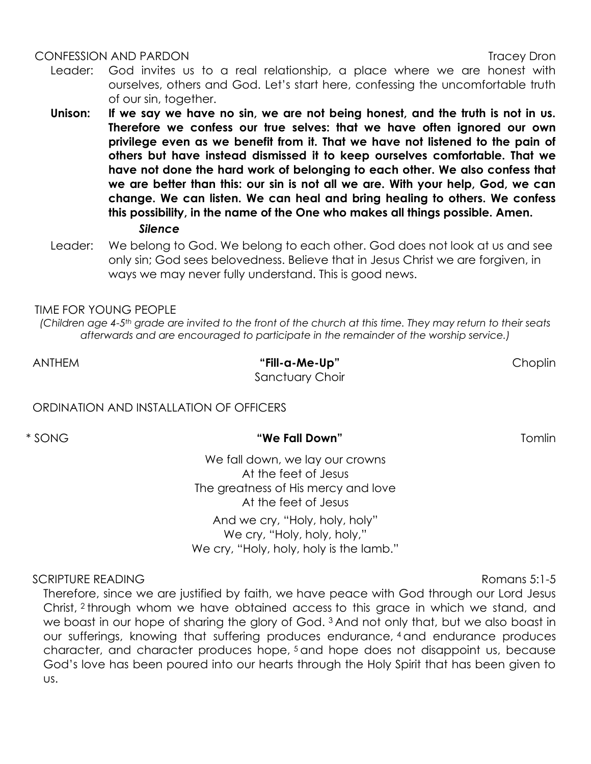### CONFESSION AND PARDON Tracey Dron

- Leader: God invites us to a real relationship, a place where we are honest with ourselves, others and God. Let's start here, confessing the uncomfortable truth of our sin, together.
- **Unison: If we say we have no sin, we are not being honest, and the truth is not in us. Therefore we confess our true selves: that we have often ignored our own privilege even as we benefit from it. That we have not listened to the pain of others but have instead dismissed it to keep ourselves comfortable. That we have not done the hard work of belonging to each other. We also confess that we are better than this: our sin is not all we are. With your help, God, we can change. We can listen. We can heal and bring healing to others. We confess this possibility, in the name of the One who makes all things possible. Amen.** *Silence*
- Leader: We belong to God. We belong to each other. God does not look at us and see only sin; God sees belovedness. Believe that in Jesus Christ we are forgiven, in ways we may never fully understand. This is good news.

### TIME FOR YOUNG PEOPLE

*(Children age 4-5th grade are invited to the front of the church at this time. They may return to their seats afterwards and are encouraged to participate in the remainder of the worship service.)*

ANTHEM **"Fill-a-Me-Up"** Choplin Sanctuary Choir

ORDINATION AND INSTALLATION OF OFFICERS

### \* SONG **"We Fall Down"** Tomlin

We fall down, we lay our crowns At the feet of Jesus The greatness of His mercy and love At the feet of Jesus And we cry, "Holy, holy, holy"

We cry, "Holy, holy, holy," We cry, "Holy, holy, holy is the lamb."

SCRIPTURE READING Romans 5:1-5

Therefore, since we are justified by faith, we have peace with God through our Lord Jesus Christ, <sup>2</sup> through whom we have obtained access to this grace in which we stand, and we boast in our hope of sharing the glory of God.<sup>3</sup> And not only that, but we also boast in our sufferings, knowing that suffering produces endurance, <sup>4</sup> and endurance produces character, and character produces hope, <sup>5</sup> and hope does not disappoint us, because God's love has been poured into our hearts through the Holy Spirit that has been given to us.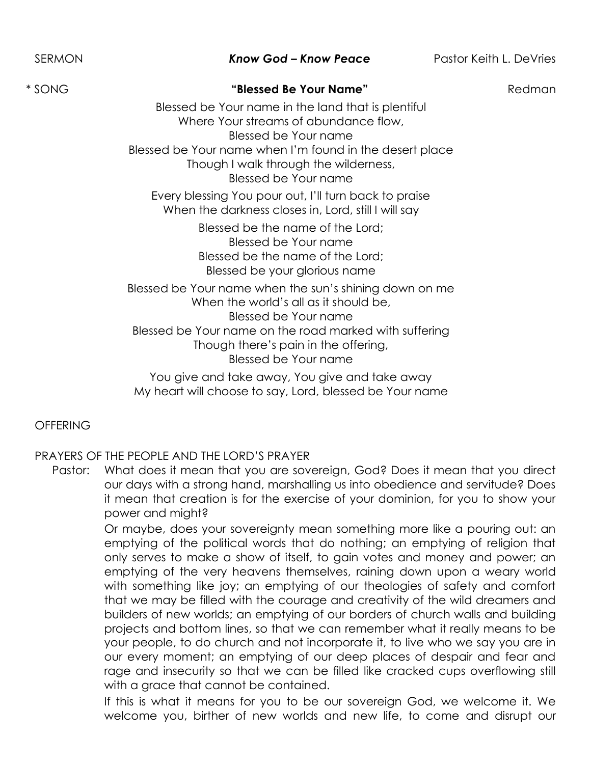# \* SONG **"Blessed Be Your Name"** Redman

Blessed be Your name in the land that is plentiful Where Your streams of abundance flow, Blessed be Your name Blessed be Your name when I'm found in the desert place Though I walk through the wilderness, Blessed be Your name

Every blessing You pour out, I'll turn back to praise When the darkness closes in, Lord, still I will say

> Blessed be the name of the Lord; Blessed be Your name Blessed be the name of the Lord; Blessed be your glorious name

Blessed be Your name when the sun's shining down on me When the world's all as it should be, Blessed be Your name Blessed be Your name on the road marked with suffering Though there's pain in the offering, Blessed be Your name

You give and take away, You give and take away My heart will choose to say, Lord, blessed be Your name

# **OFFFRING**

# PRAYERS OF THE PEOPLE AND THE LORD'S PRAYER

Pastor: What does it mean that you are sovereign, God? Does it mean that you direct our days with a strong hand, marshalling us into obedience and servitude? Does it mean that creation is for the exercise of your dominion, for you to show your power and might?

> Or maybe, does your sovereignty mean something more like a pouring out: an emptying of the political words that do nothing; an emptying of religion that only serves to make a show of itself, to gain votes and money and power; an emptying of the very heavens themselves, raining down upon a weary world with something like joy; an emptying of our theologies of safety and comfort that we may be filled with the courage and creativity of the wild dreamers and builders of new worlds; an emptying of our borders of church walls and building projects and bottom lines, so that we can remember what it really means to be your people, to do church and not incorporate it, to live who we say you are in our every moment; an emptying of our deep places of despair and fear and rage and insecurity so that we can be filled like cracked cups overflowing still with a grace that cannot be contained.

> If this is what it means for you to be our sovereign God, we welcome it. We welcome you, birther of new worlds and new life, to come and disrupt our